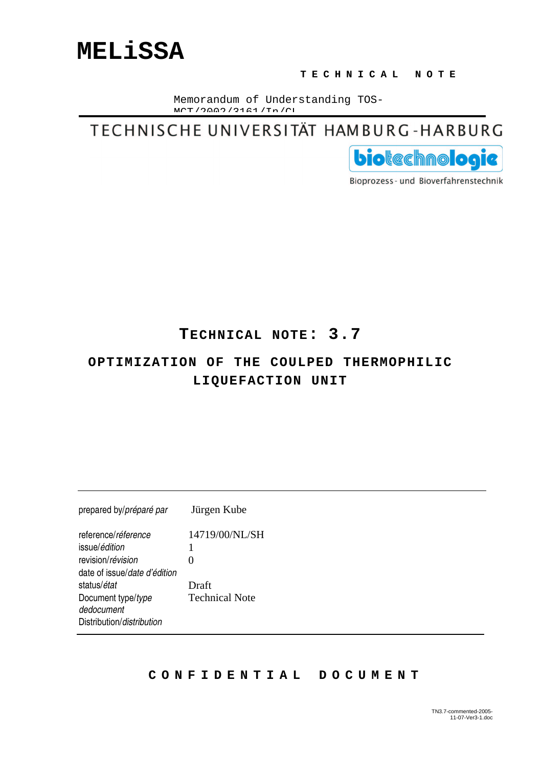DIStribution/*aistribution* 

#### **T E C H N I C A L N O T E**

Memorandum of Understanding TOS- $M$ CH $/2000/2161/Tm$ 

TECHNISCHE UNIVERSITÄT HAMBURG-HARBURG



Bioprozess- und Bioverfahrenstechnik

### **TECHNICAL NOTE: 3.7**

### **OPTIMIZATION OF THE COULPED THERMOPHILIC LIQUEFACTION UNIT**

| prepared by/préparé par          | Jürgen Kube           |  |
|----------------------------------|-----------------------|--|
| reference/réference              | 14719/00/NL/SH        |  |
| issue/édition                    |                       |  |
| revision/révision                | 0                     |  |
| date of issue/date d'édition     |                       |  |
| status/ <i>état</i>              | Draft                 |  |
| Document type/type<br>dedocument | <b>Technical Note</b> |  |
|                                  |                       |  |

#### **C O N F I D E N T I A L D O C U M E N T**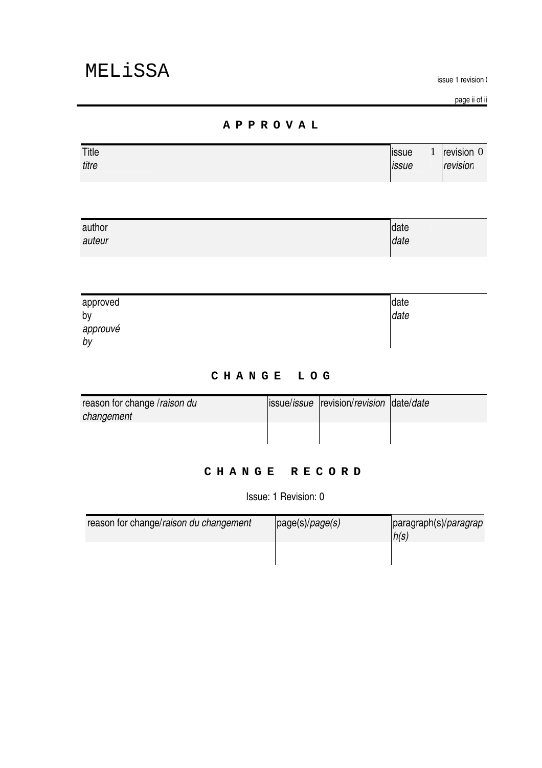issue i revision (

page il ol il

#### **A P P R O V A L**

| Title | <b>ISSUE</b>        | revision 0      |
|-------|---------------------|-----------------|
| titre | <i><b>Issue</b></i> | . .<br>revision |

| author | date |
|--------|------|
| auteur | date |
|        |      |

| approved       | date |
|----------------|------|
| by             | date |
| approuvé<br>by |      |

#### **C H A N G E L O G**

| reason for change /raison du | issue/issue revision/revision date/date |  |
|------------------------------|-----------------------------------------|--|
| changement                   |                                         |  |
|                              |                                         |  |
|                              |                                         |  |

#### **C H A N G E R E C O R D**

**ISSUE.** I REVISION. U

| reason for change/raison du changement | page(s)/page(s) | paragraph(s)/ <i>paragrap</i><br>h(s) |
|----------------------------------------|-----------------|---------------------------------------|
|                                        |                 |                                       |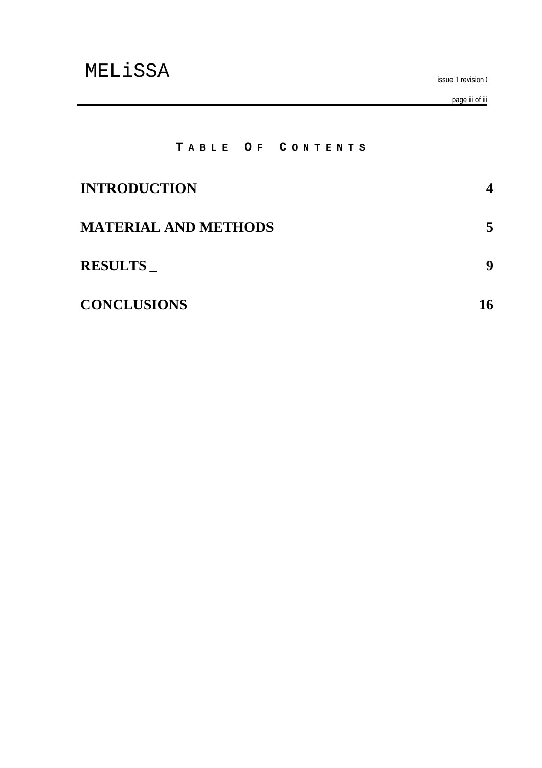issue i revision (

page ill of ill

#### **T A B L E O F C O N T E N T S**

| <b>INTRODUCTION</b>         |    |
|-----------------------------|----|
| <b>MATERIAL AND METHODS</b> | 5  |
| <b>RESULTS</b>              | 9  |
| <b>CONCLUSIONS</b>          | 16 |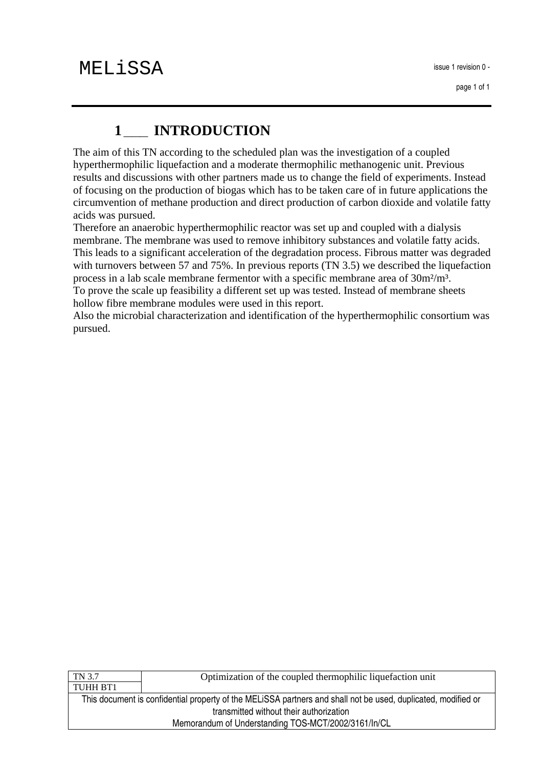# **1\_\_\_ INTRODUCTION**

The aim of this TN according to the scheduled plan was the investigation of a coupled hyperthermophilic liquefaction and a moderate thermophilic methanogenic unit. Previous results and discussions with other partners made us to change the field of experiments. Instead of focusing on the production of biogas which has to be taken care of in future applications the circumvention of methane production and direct production of carbon dioxide and volatile fatty acids was pursued.

Therefore an anaerobic hyperthermophilic reactor was set up and coupled with a dialysis membrane. The membrane was used to remove inhibitory substances and volatile fatty acids. This leads to a significant acceleration of the degradation process. Fibrous matter was degraded with turnovers between 57 and 75%. In previous reports (TN 3.5) we described the liquefaction process in a lab scale membrane fermentor with a specific membrane area of 30m²/m³. To prove the scale up feasibility a different set up was tested. Instead of membrane sheets hollow fibre membrane modules were used in this report.

Also the microbial characterization and identification of the hyperthermophilic consortium was pursued.

| TN 3.7                                                                                                        | Optimization of the coupled thermophilic liquefaction unit |  |
|---------------------------------------------------------------------------------------------------------------|------------------------------------------------------------|--|
| TUHH BT1                                                                                                      |                                                            |  |
| This document is confidential property of the MELISSA partners and shall not be used, duplicated, modified or |                                                            |  |
| transmitted without their authorization                                                                       |                                                            |  |
| Memorandum of Understanding TOS-MCT/2002/3161/In/CL                                                           |                                                            |  |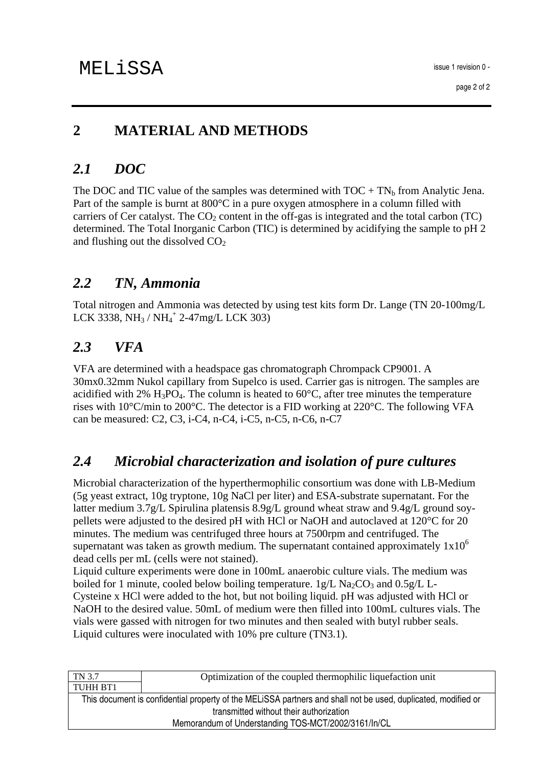### **2 MATERIAL AND METHODS**

### *2.1 DOC*

The DOC and TIC value of the samples was determined with  $TOC + TN_b$  from Analytic Jena. Part of the sample is burnt at 800°C in a pure oxygen atmosphere in a column filled with carriers of Cer catalyst. The  $CO<sub>2</sub>$  content in the off-gas is integrated and the total carbon (TC) determined. The Total Inorganic Carbon (TIC) is determined by acidifying the sample to pH 2 and flushing out the dissolved  $CO<sub>2</sub>$ 

### *2.2 TN, Ammonia*

Total nitrogen and Ammonia was detected by using test kits form Dr. Lange (TN 20-100mg/L LCK 3338, NH<sub>3</sub> / NH<sub>4</sub><sup>+</sup> 2-47mg/L LCK 303)

### *2.3 VFA*

VFA are determined with a headspace gas chromatograph Chrompack CP9001. A 30mx0.32mm Nukol capillary from Supelco is used. Carrier gas is nitrogen. The samples are acidified with 2%  $H_3PO_4$ . The column is heated to 60 $°C$ , after tree minutes the temperature rises with 10°C/min to 200°C. The detector is a FID working at 220°C. The following VFA can be measured: C2, C3, i-C4, n-C4, i-C5, n-C5, n-C6, n-C7

### *2.4 Microbial characterization and isolation of pure cultures*

Microbial characterization of the hyperthermophilic consortium was done with LB-Medium (5g yeast extract, 10g tryptone, 10g NaCl per liter) and ESA-substrate supernatant. For the latter medium 3.7g/L Spirulina platensis 8.9g/L ground wheat straw and 9.4g/L ground soypellets were adjusted to the desired pH with HCl or NaOH and autoclaved at 120°C for 20 minutes. The medium was centrifuged three hours at 7500rpm and centrifuged. The supernatant was taken as growth medium. The supernatant contained approximately  $1x10^6$ dead cells per mL (cells were not stained).

Liquid culture experiments were done in 100mL anaerobic culture vials. The medium was boiled for 1 minute, cooled below boiling temperature.  $1g/L$  Na<sub>2</sub>CO<sub>3</sub> and 0.5g/L L-Cysteine x HCl were added to the hot, but not boiling liquid. pH was adjusted with HCl or NaOH to the desired value. 50mL of medium were then filled into 100mL cultures vials. The vials were gassed with nitrogen for two minutes and then sealed with butyl rubber seals. Liquid cultures were inoculated with 10% pre culture (TN3.1).

| Optimization of the coupled thermophilic liquefaction unit                                                    |  |  |
|---------------------------------------------------------------------------------------------------------------|--|--|
|                                                                                                               |  |  |
| This document is confidential property of the MELISSA partners and shall not be used, duplicated, modified or |  |  |
| transmitted without their authorization                                                                       |  |  |
| Memorandum of Understanding TOS-MCT/2002/3161/In/CL                                                           |  |  |
|                                                                                                               |  |  |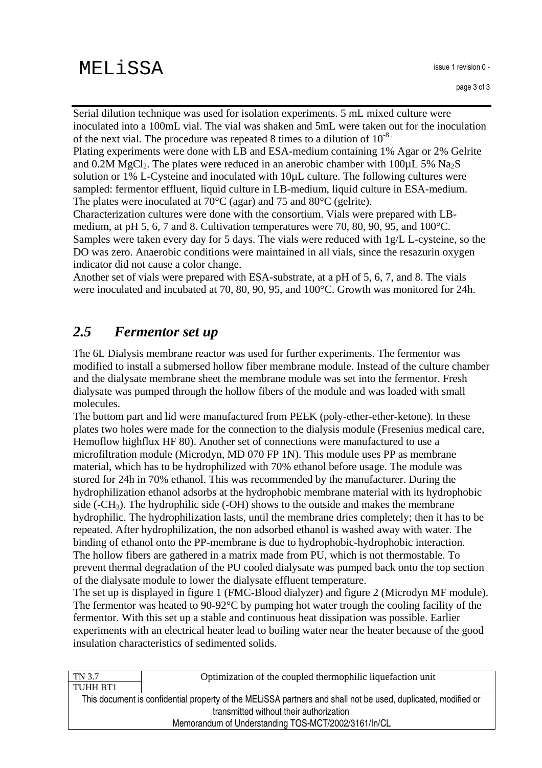Serial dilution technique was used for isolation experiments. 5 mL mixed culture were inoculated into a 100mL vial. The vial was shaken and 5mL were taken out for the inoculation of the next vial. The procedure was repeated 8 times to a dilution of  $10^{-8}$ .

Plating experiments were done with LB and ESA-medium containing 1% Agar or 2% Gelrite and 0.2M MgCl<sub>2</sub>. The plates were reduced in an anerobic chamber with  $100\mu$ L 5% Na<sub>2</sub>S solution or 1% L-Cysteine and inoculated with 10 $\mu$ L culture. The following cultures were sampled: fermentor effluent, liquid culture in LB-medium, liquid culture in ESA-medium. The plates were inoculated at 70°C (agar) and 75 and 80°C (gelrite).

Characterization cultures were done with the consortium. Vials were prepared with LBmedium, at pH 5, 6, 7 and 8. Cultivation temperatures were 70, 80, 90, 95, and 100°C. Samples were taken every day for 5 days. The vials were reduced with 1g/L L-cysteine, so the DO was zero. Anaerobic conditions were maintained in all vials, since the resazurin oxygen indicator did not cause a color change.

Another set of vials were prepared with ESA-substrate, at a pH of 5, 6, 7, and 8. The vials were inoculated and incubated at 70, 80, 90, 95, and 100°C. Growth was monitored for 24h.

### *2.5 Fermentor set up*

The 6L Dialysis membrane reactor was used for further experiments. The fermentor was modified to install a submersed hollow fiber membrane module. Instead of the culture chamber and the dialysate membrane sheet the membrane module was set into the fermentor. Fresh dialysate was pumped through the hollow fibers of the module and was loaded with small molecules.

The bottom part and lid were manufactured from PEEK (poly-ether-ether-ketone). In these plates two holes were made for the connection to the dialysis module (Fresenius medical care, Hemoflow highflux HF 80). Another set of connections were manufactured to use a microfiltration module (Microdyn, MD 070 FP 1N). This module uses PP as membrane material, which has to be hydrophilized with 70% ethanol before usage. The module was stored for 24h in 70% ethanol. This was recommended by the manufacturer. During the hydrophilization ethanol adsorbs at the hydrophobic membrane material with its hydrophobic side  $(-CH<sub>3</sub>)$ . The hydrophilic side  $(-OH)$  shows to the outside and makes the membrane hydrophilic. The hydrophilization lasts, until the membrane dries completely; then it has to be repeated. After hydrophilization, the non adsorbed ethanol is washed away with water. The binding of ethanol onto the PP-membrane is due to hydrophobic-hydrophobic interaction. The hollow fibers are gathered in a matrix made from PU, which is not thermostable. To prevent thermal degradation of the PU cooled dialysate was pumped back onto the top section of the dialysate module to lower the dialysate effluent temperature.

The set up is displayed in figure 1 (FMC-Blood dialyzer) and figure 2 (Microdyn MF module). The fermentor was heated to 90-92°C by pumping hot water trough the cooling facility of the fermentor. With this set up a stable and continuous heat dissipation was possible. Earlier experiments with an electrical heater lead to boiling water near the heater because of the good insulation characteristics of sedimented solids.

| TN 3.7                                                                                                        | Optimization of the coupled thermophilic liquefaction unit |  |
|---------------------------------------------------------------------------------------------------------------|------------------------------------------------------------|--|
| TUHH BT1                                                                                                      |                                                            |  |
| This document is confidential property of the MELISSA partners and shall not be used, duplicated, modified or |                                                            |  |
| transmitted without their authorization                                                                       |                                                            |  |
| Memorandum of Understanding TOS-MCT/2002/3161/In/CL                                                           |                                                            |  |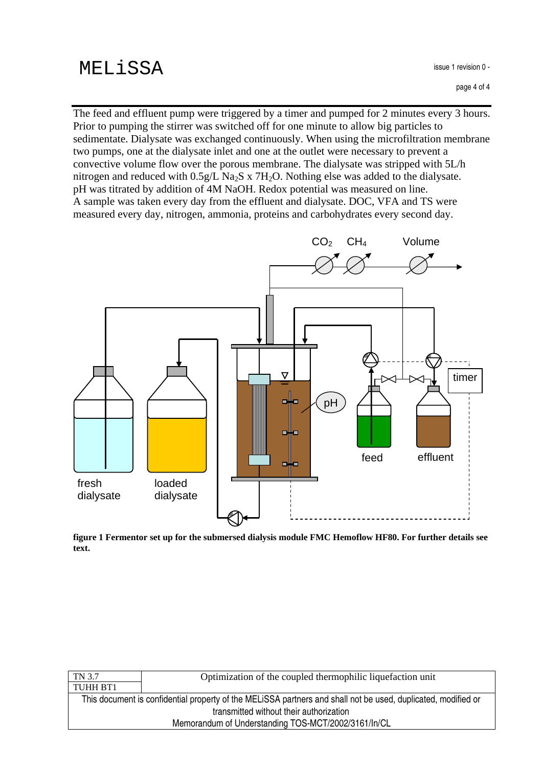The feed and effluent pump were triggered by a timer and pumped for 2 minutes every 3 hours. Prior to pumping the stirrer was switched off for one minute to allow big particles to sedimentate. Dialysate was exchanged continuously. When using the microfiltration membrane two pumps, one at the dialysate inlet and one at the outlet were necessary to prevent a convective volume flow over the porous membrane. The dialysate was stripped with 5L/h nitrogen and reduced with  $0.5g/L$  Na<sub>2</sub>S x 7H<sub>2</sub>O. Nothing else was added to the dialysate. pH was titrated by addition of 4M NaOH. Redox potential was measured on line. A sample was taken every day from the effluent and dialysate. DOC, VFA and TS were measured every day, nitrogen, ammonia, proteins and carbohydrates every second day.



**figure 1 Fermentor set up for the submersed dialysis module FMC Hemoflow HF80. For further details see text.**

| TN 3.7                                                                                                        | Optimization of the coupled thermophilic liquefaction unit |
|---------------------------------------------------------------------------------------------------------------|------------------------------------------------------------|
| TUHH BT1                                                                                                      |                                                            |
| This document is confidential property of the MELISSA partners and shall not be used, duplicated, modified or |                                                            |
| transmitted without their authorization                                                                       |                                                            |
| Memorandum of Understanding TOS-MCT/2002/3161/In/CL                                                           |                                                            |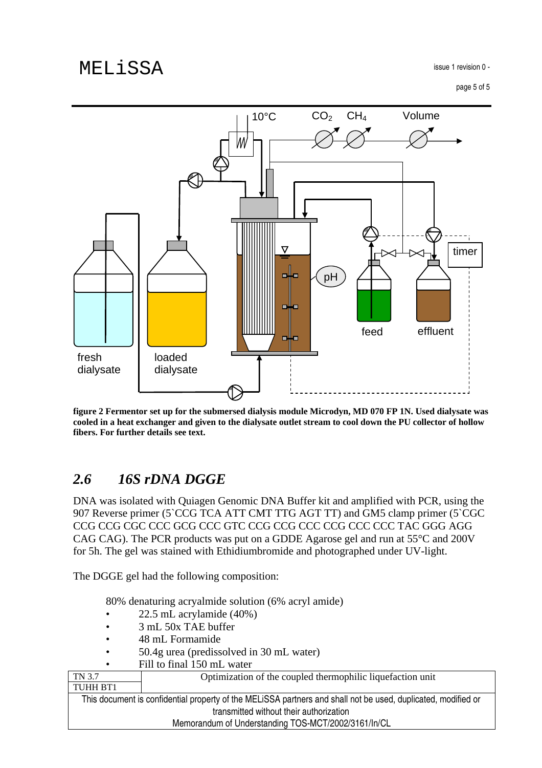

figure 2 Fermentor set up for the submersed dialysis module Microdyn, MD 070 FP 1N. Used dialysate was cooled in a heat exchanger and given to the dialysate outlet stream to cool down the PU collector of hollow **fibers. For further details see text.**

### *2.6 16S rDNA DGGE*

DNA was isolated with Quiagen Genomic DNA Buffer kit and amplified with PCR, using the 907 Reverse primer (5`CCG TCA ATT CMT TTG AGT TT) and GM5 clamp primer (5`CGC CCG CCG CGC CCC GCG CCC GTC CCG CCG CCC CCG CCC CCC TAC GGG AGG CAG CAG). The PCR products was put on a GDDE Agarose gel and run at 55°C and 200V for 5h. The gel was stained with Ethidiumbromide and photographed under UV-light.

The DGGE gel had the following composition:

80% denaturing acryalmide solution (6% acryl amide)

- 22.5 mL acrylamide (40%)
- 3 mL 50x TAE buffer
- 48 mL Formamide
- 50.4g urea (predissolved in 30 mL water)
- Fill to final 150 mL water

| TN 3.7                                              | Optimization of the coupled thermophilic liquefaction unit                                                    |  |
|-----------------------------------------------------|---------------------------------------------------------------------------------------------------------------|--|
| TUHH BT1                                            |                                                                                                               |  |
|                                                     | This document is confidential property of the MELISSA partners and shall not be used, duplicated, modified or |  |
| transmitted without their authorization             |                                                                                                               |  |
| Memorandum of Understanding TOS-MCT/2002/3161/In/CL |                                                                                                               |  |
|                                                     |                                                                                                               |  |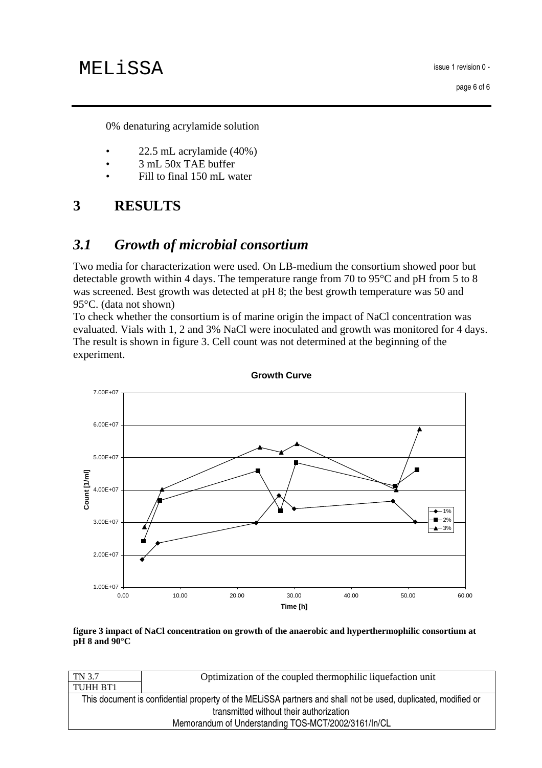issue i revision u -

0% denaturing acrylamide solution

- 22.5 mL acrylamide (40%)
- 3 mL 50x TAE buffer
- Fill to final 150 mL water

# **3 RESULTS**

## *3.1 Growth of microbial consortium*

Two media for characterization were used. On LB-medium the consortium showed poor but detectable growth within 4 days. The temperature range from 70 to 95°C and pH from 5 to 8 was screened. Best growth was detected at pH 8; the best growth temperature was 50 and 95°C. (data not shown)

To check whether the consortium is of marine origin the impact of NaCl concentration was evaluated. Vials with 1, 2 and 3% NaCl were inoculated and growth was monitored for 4 days. The result is shown in figure 3. Cell count was not determined at the beginning of the experiment.



**Growth Curve**

**figure 3 impact of NaCl concentration on growth of the anaerobic and hyperthermophilic consortium at pH 8 and 90°C**

| TN 3.7                                                                                                        | Optimization of the coupled thermophilic liquefaction unit |
|---------------------------------------------------------------------------------------------------------------|------------------------------------------------------------|
| TUHH BT1                                                                                                      |                                                            |
| This document is confidential property of the MELISSA partners and shall not be used, duplicated, modified or |                                                            |
| transmitted without their authorization                                                                       |                                                            |
| Memorandum of Understanding TOS-MCT/2002/3161/In/CL                                                           |                                                            |
|                                                                                                               |                                                            |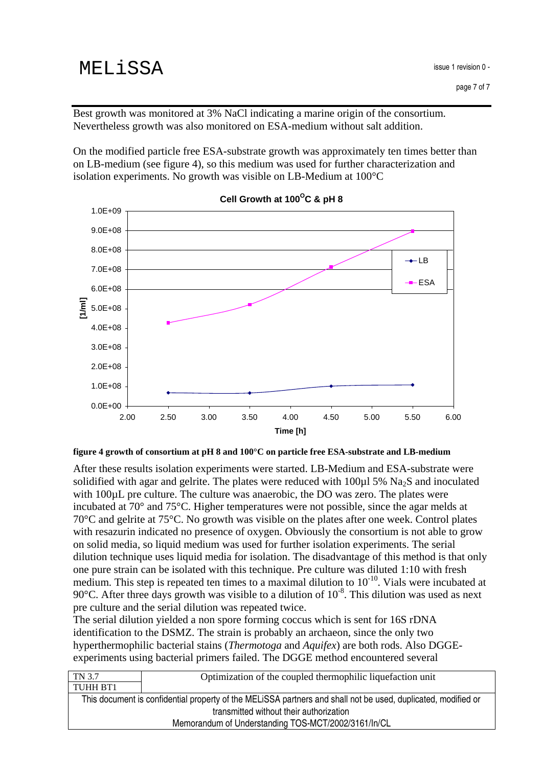Best growth was monitored at 3% NaCl indicating a marine origin of the consortium. Nevertheless growth was also monitored on ESA-medium without salt addition.

On the modified particle free ESA-substrate growth was approximately ten times better than on LB-medium (see figure 4), so this medium was used for further characterization and isolation experiments. No growth was visible on LB-Medium at 100°C



#### **Cell Growth at 100 <sup>O</sup>C & pH 8**

**figure 4 growth of consortium at pH 8 and 100°C on particle free ESA-substrate and LB-medium**

After these results isolation experiments were started. LB-Medium and ESA-substrate were solidified with agar and gelrite. The plates were reduced with  $100\mu$  5% Na<sub>2</sub>S and inoculated with 100 $\mu$ L pre culture. The culture was anaerobic, the DO was zero. The plates were incubated at 70° and 75°C. Higher temperatures were not possible, since the agar melds at 70°C and gelrite at 75°C. No growth was visible on the plates after one week. Control plates with resazurin indicated no presence of oxygen. Obviously the consortium is not able to grow on solid media, so liquid medium was used for further isolation experiments. The serial dilution technique uses liquid media for isolation. The disadvantage of this method is that only one pure strain can be isolated with this technique. Pre culture was diluted 1:10 with fresh medium. This step is repeated ten times to a maximal dilution to  $10^{-10}$ . Vials were incubated at 90 $\degree$ C. After three days growth was visible to a dilution of 10<sup> $\degree$ </sup>. This dilution was used as next pre culture and the serial dilution was repeated twice.

The serial dilution yielded a non spore forming coccus which is sent for 16S rDNA identification to the DSMZ. The strain is probably an archaeon, since the only two hyperthermophilic bacterial stains (*Thermotoga* and *Aquifex*) are both rods. Also DGGEexperiments using bacterial primers failed. The DGGE method encountered several

| TN 3.7                                                                                                        | Optimization of the coupled thermophilic liquefaction unit |
|---------------------------------------------------------------------------------------------------------------|------------------------------------------------------------|
| TUHH BT1                                                                                                      |                                                            |
| This document is confidential property of the MELISSA partners and shall not be used, duplicated, modified or |                                                            |
| transmitted without their authorization                                                                       |                                                            |
| Memorandum of Understanding TOS-MCT/2002/3161/In/CL                                                           |                                                            |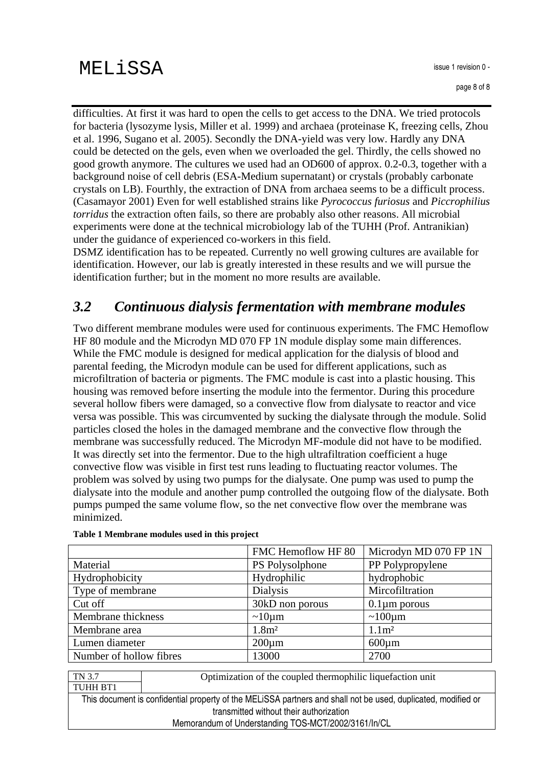difficulties. At first it was hard to open the cells to get access to the DNA. We tried protocols for bacteria (lysozyme lysis, Miller et al. 1999) and archaea (proteinase K, freezing cells, Zhou et al. 1996, Sugano et al. 2005). Secondly the DNA-yield was very low. Hardly any DNA could be detected on the gels, even when we overloaded the gel. Thirdly, the cells showed no good growth anymore. The cultures we used had an OD600 of approx. 0.2-0.3, together with a background noise of cell debris (ESA-Medium supernatant) or crystals (probably carbonate crystals on LB). Fourthly, the extraction of DNA from archaea seems to be a difficult process. (Casamayor 2001) Even for well established strains like *Pyrococcus furiosus* and *Piccrophilius torridus* the extraction often fails, so there are probably also other reasons. All microbial experiments were done at the technical microbiology lab of the TUHH (Prof. Antranikian) under the guidance of experienced co-workers in this field.

DSMZ identification has to be repeated. Currently no well growing cultures are available for identification. However, our lab is greatly interested in these results and we will pursue the identification further; but in the moment no more results are available.

## *3.2 Continuous dialysis fermentation with membrane modules*

Two different membrane modules were used for continuous experiments. The FMC Hemoflow HF 80 module and the Microdyn MD 070 FP 1N module display some main differences. While the FMC module is designed for medical application for the dialysis of blood and parental feeding, the Microdyn module can be used for different applications, such as microfiltration of bacteria or pigments. The FMC module is cast into a plastic housing. This housing was removed before inserting the module into the fermentor. During this procedure several hollow fibers were damaged, so a convective flow from dialysate to reactor and vice versa was possible. This was circumvented by sucking the dialysate through the module. Solid particles closed the holes in the damaged membrane and the convective flow through the membrane was successfully reduced. The Microdyn MF-module did not have to be modified. It was directly set into the fermentor. Due to the high ultrafiltration coefficient a huge convective flow was visible in first test runs leading to fluctuating reactor volumes. The problem was solved by using two pumps for the dialysate. One pump was used to pump the dialysate into the module and another pump controlled the outgoing flow of the dialysate. Both pumps pumped the same volume flow, so the net convective flow over the membrane was minimized.

|                         | FMC Hemoflow HF 80 | Microdyn MD 070 FP 1N |
|-------------------------|--------------------|-----------------------|
| Material                | PS Polysolphone    | PP Polypropylene      |
| Hydrophobicity          | Hydrophilic        | hydrophobic           |
| Type of membrane        | <b>Dialysis</b>    | Mircofiltration       |
| Cut off                 | 30kD non porous    | $0.1 \mu m$ porous    |
| Membrane thickness      | $\sim 10 \mu m$    | $\sim 100 \mu m$      |
| Membrane area           | 1.8 <sup>m²</sup>  | 1.1 <sup>m</sup>      |
| Lumen diameter          | $200 \mu m$        | $600 \mu m$           |
| Number of hollow fibres | 13000              | 2700                  |

#### **Table 1 Membrane modules used in this project**

Optimization of the coupled thermophilic liquefaction unit

THIS QUCUMENT IS COMMUTING PROPERTY OF THE MILLISSA DAMMERS AND SMAIN NOT DE USED, QUIDICATED, MODINED OF uansmitted without their authorization Memorandum of Understanding TOS-MCT/2002/3161/In/CL

TN 3.7 TUHH BT1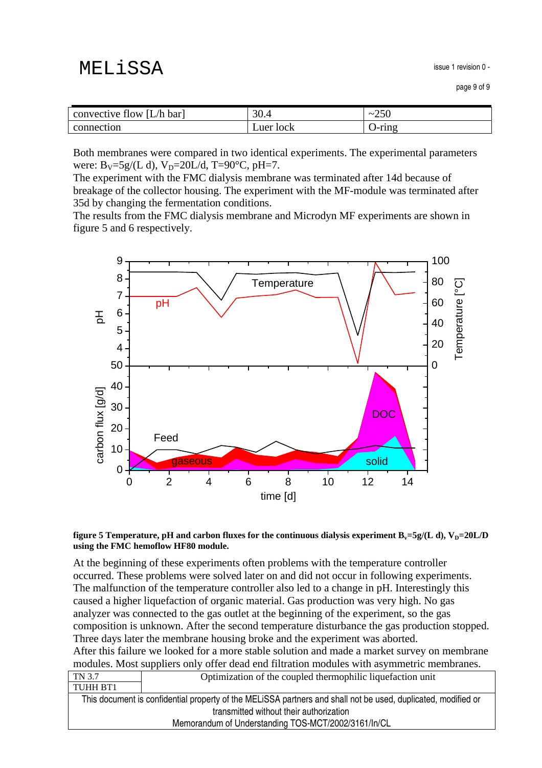issue i revision u -

| [L/h bar]<br>convective flow | ⌒⌒<br>JV.4    | າເດ<br>$\tilde{\phantom{a}}$<br>$\angle$ JU |
|------------------------------|---------------|---------------------------------------------|
| connection                   | Tock<br>uer - | -ring<br>ັ                                  |

Both membranes were compared in two identical experiments. The experimental parameters were:  $B_V = 5g/(L d)$ ,  $V_D = 20L/d$ , T=90°C, pH=7.

The experiment with the FMC dialysis membrane was terminated after 14d because of breakage of the collector housing. The experiment with the MF-module was terminated after 35d by changing the fermentation conditions.

The results from the FMC dialysis membrane and Microdyn MF experiments are shown in figure 5 and 6 respectively.



#### figure 5 Temperature, pH and carbon fluxes for the continuous dialysis experiment  $B_y = 5g/(L d)$ ,  $V_p = 20L/D$ **using the FMC hemoflow HF80 module.**

At the beginning of these experiments often problems with the temperature controller occurred. These problems were solved later on and did not occur in following experiments. The malfunction of the temperature controller also led to a change in pH. Interestingly this caused a higher liquefaction of organic material. Gas production was very high. No gas analyzer was connected to the gas outlet at the beginning of the experiment, so the gas composition is unknown. After the second temperature disturbance the gas production stopped. Three days later the membrane housing broke and the experiment was aborted. After this failure we looked for a more stable solution and made a market survey on membrane

|       | modules. Most suppliers only offer dead end filtration modules with asymmetric membranes.                                                                                                                                                                                                                                                |
|-------|------------------------------------------------------------------------------------------------------------------------------------------------------------------------------------------------------------------------------------------------------------------------------------------------------------------------------------------|
| TNT27 | . $\bigcap_{i=1}^{n} \mathbb{R}^{n}$ , $i=1,\ldots,n$ , $\bigcap_{i=1}^{n} \mathbb{R}^{n}$ , $\bigcap_{i=1}^{n} \mathbb{R}^{n}$ , $\bigcap_{i=1}^{n} \mathbb{R}^{n}$ , $\bigcap_{i=1}^{n} \mathbb{R}^{n}$ , $\bigcap_{i=1}^{n} \mathbb{R}^{n}$ , $\bigcap_{i=1}^{n} \mathbb{R}^{n}$ , $\bigcap_{i=1}^{n} \mathbb{R}^{n}$ , $\bigcap_{i=$ |

| TN 3.7                                              | Optimization of the coupled thermophilic liquefaction unit                                                    |
|-----------------------------------------------------|---------------------------------------------------------------------------------------------------------------|
| TUHH BT1                                            |                                                                                                               |
|                                                     | This document is confidential property of the MELISSA partners and shall not be used, duplicated, modified or |
| transmitted without their authorization             |                                                                                                               |
| Memorandum of Understanding TOS-MCT/2002/3161/In/CL |                                                                                                               |
|                                                     |                                                                                                               |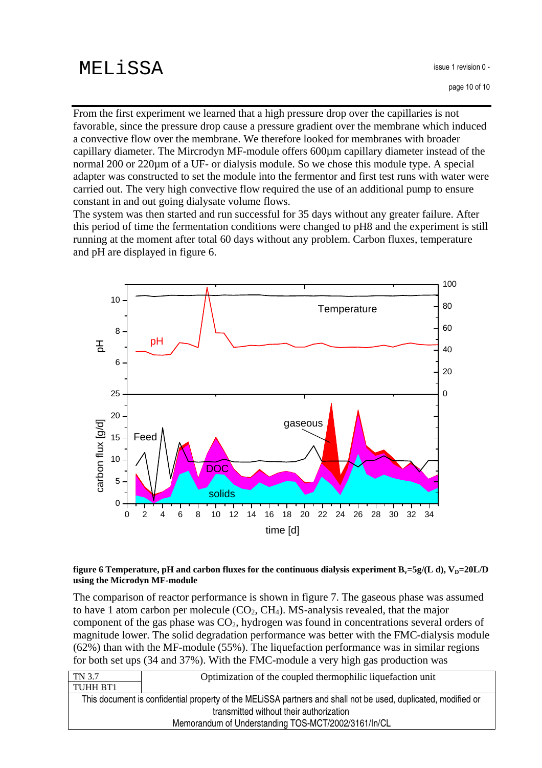From the first experiment we learned that a high pressure drop over the capillaries is not favorable, since the pressure drop cause a pressure gradient over the membrane which induced a convective flow over the membrane. We therefore looked for membranes with broader capillary diameter. The Mircrodyn MF-module offers 600µm capillary diameter instead of the normal 200 or 220µm of a UF- or dialysis module. So we chose this module type. A special adapter was constructed to set the module into the fermentor and first test runs with water were carried out. The very high convective flow required the use of an additional pump to ensure constant in and out going dialysate volume flows.

The system was then started and run successful for 35 days without any greater failure. After this period of time the fermentation conditions were changed to pH8 and the experiment is still running at the moment after total 60 days without any problem. Carbon fluxes, temperature and pH are displayed in figure 6.



#### figure 6 Temperature, pH and carbon fluxes for the continuous dialysis experiment  $B_y = 5g/(L d)$ ,  $V_p = 20L/D$ **using the Microdyn MF-module**

The comparison of reactor performance is shown in figure 7. The gaseous phase was assumed to have 1 atom carbon per molecule  $(CO_2, CH_4)$ . MS-analysis revealed, that the major component of the gas phase was CO2, hydrogen was found in concentrations several orders of magnitude lower. The solid degradation performance was better with the FMC-dialysis module (62%) than with the MF-module (55%). The liquefaction performance was in similar regions for both set ups (34 and 37%). With the FMC-module a very high gas production was

| TN 3.7<br>Optimization of the coupled thermophilic liquefaction unit                                          |  |
|---------------------------------------------------------------------------------------------------------------|--|
| TUHH BT1                                                                                                      |  |
| This document is confidential property of the MELISSA partners and shall not be used, duplicated, modified or |  |
| transmitted without their authorization                                                                       |  |
| Memorandum of Understanding TOS-MCT/2002/3161/In/CL                                                           |  |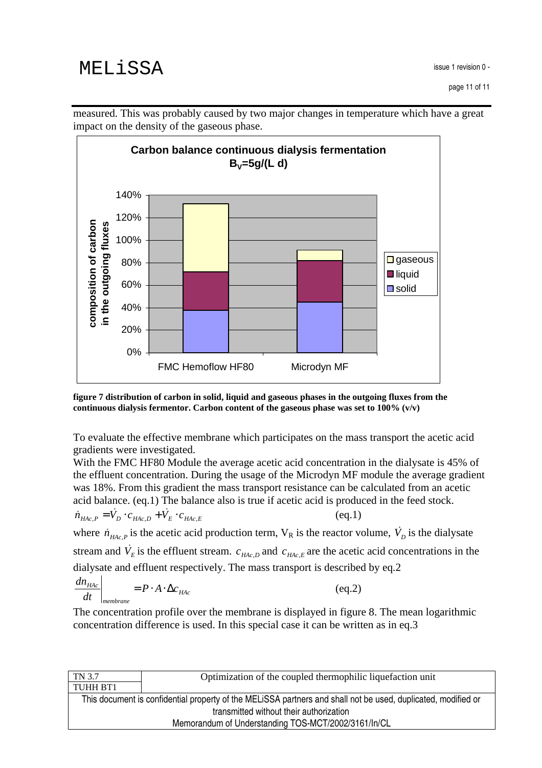

measured. This was probably caused by two major changes in temperature which have a great impact on the density of the gaseous phase.

**figure 7 distribution of carbon in solid, liquid and gaseous phases in the outgoing fluxes from the continuous dialysis fermentor. Carbon content of the gaseous phase was set to 100% (v/v)**

To evaluate the effective membrane which participates on the mass transport the acetic acid gradients were investigated.

With the FMC HF80 Module the average acetic acid concentration in the dialysate is 45% of the effluent concentration. During the usage of the Microdyn MF module the average gradient was 18%. From this gradient the mass transport resistance can be calculated from an acetic acid balance. (eq.1) The balance also is true if acetic acid is produced in the feed stock.  $\dot{m}_{HAC,P} = \dot{V}_D \cdot c_{HAC,D} + \dot{V}_E \cdot c_{HAc,E}$ (eq.1)

where  $\dot{n}_{HAC,P}$  is the acetic acid production term,  $V_R$  is the reactor volume,  $\dot{V}_D$  is the dialysate stream and  $\dot{V}_E$  is the effluent stream.  $c_{HAC,D}$  and  $c_{HAC,E}$  are the acetic acid concentrations in the dialysate and effluent respectively. The mass transport is described by eq.2

$$
\left. \frac{dn_{Hac}}{dt} \right|_{membrane} = P \cdot A \cdot \Delta c_{HAc}
$$
 (eq.2)

The concentration profile over the membrane is displayed in figure 8. The mean logarithmic concentration difference is used. In this special case it can be written as in eq.3

| TN 3.7                                              | Optimization of the coupled thermophilic liquefaction unit                                                    |  |
|-----------------------------------------------------|---------------------------------------------------------------------------------------------------------------|--|
| TUHH BT1                                            |                                                                                                               |  |
|                                                     | This document is confidential property of the MELISSA partners and shall not be used, duplicated, modified or |  |
| transmitted without their authorization             |                                                                                                               |  |
| Memorandum of Understanding TOS-MCT/2002/3161/In/CL |                                                                                                               |  |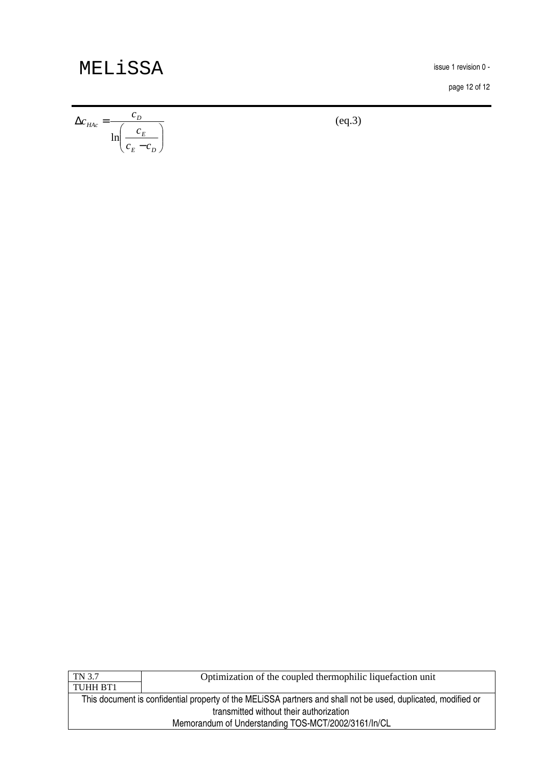issue i revision u -

page 12 of 12

$$
\Delta c_{HAc} = \frac{c_D}{\ln\left(\frac{c_E}{c_E - c_D}\right)}\tag{eq.3}
$$

| TN 3.7                                              | Optimization of the coupled thermophilic liquefaction unit                                                    |  |
|-----------------------------------------------------|---------------------------------------------------------------------------------------------------------------|--|
| TUHH BT1                                            |                                                                                                               |  |
|                                                     | This document is confidential property of the MELISSA partners and shall not be used, duplicated, modified or |  |
| transmitted without their authorization             |                                                                                                               |  |
| Memorandum of Understanding TOS-MCT/2002/3161/In/CL |                                                                                                               |  |
|                                                     |                                                                                                               |  |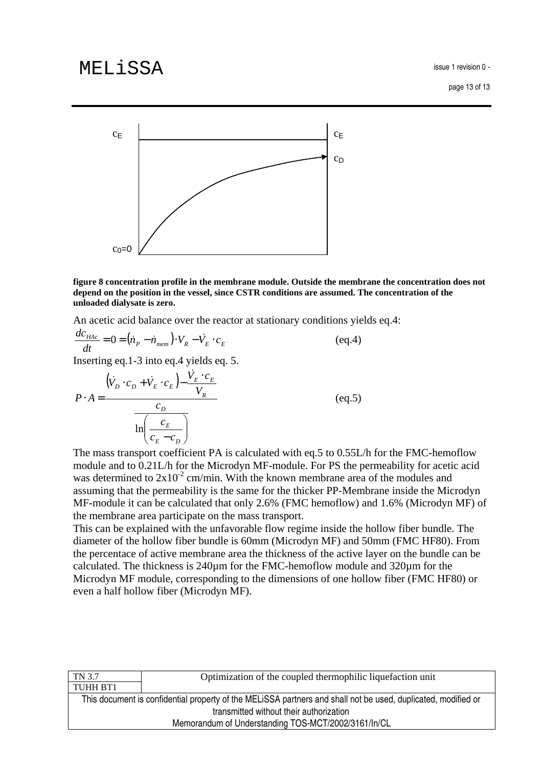issue i revision u -



**figure 8 concentration profile in the membrane module. Outside the membrane the concentration does not depend on the position in the vessel, since CSTR conditions are assumed. The concentration of the unloaded dialysate is zero.**

An acetic acid balance over the reactor at stationary conditions yields eq.4:

$$
\frac{dc_{HAc}}{dt} = 0 = \left(\dot{n}_P - \dot{n}_{mem}\right) \cdot V_R - \dot{V}_E \cdot c_E
$$
\n
$$
\tag{eq.4}
$$

Inserting eq.1-3 into eq.4 yields eq. 5.

$$
P \cdot A = \frac{(\dot{V}_D \cdot c_D + \dot{V}_E \cdot c_E) - \frac{\dot{V}_E \cdot c_E}{V_R}}{\ln\left(\frac{c_E}{c_E - c_D}\right)}
$$
(eq.5)

The mass transport coefficient PA is calculated with eq.5 to 0.55L/h for the FMC-hemoflow module and to 0.21L/h for the Microdyn MF-module. For PS the permeability for acetic acid was determined to  $2x10^{-2}$  cm/min. With the known membrane area of the modules and assuming that the permeability is the same for the thicker PP-Membrane inside the Microdyn MF-module it can be calculated that only 2.6% (FMC hemoflow) and 1.6% (Microdyn MF) of the membrane area participate on the mass transport.

This can be explained with the unfavorable flow regime inside the hollow fiber bundle. The diameter of the hollow fiber bundle is 60mm (Microdyn MF) and 50mm (FMC HF80). From the percentace of active membrane area the thickness of the active layer on the bundle can be calculated. The thickness is 240µm for the FMC-hemoflow module and 320µm for the Microdyn MF module, corresponding to the dimensions of one hollow fiber (FMC HF80) or even a half hollow fiber (Microdyn MF).

| Optimization of the coupled thermophilic liquefaction unit                                                    |  |
|---------------------------------------------------------------------------------------------------------------|--|
|                                                                                                               |  |
| This document is confidential property of the MELISSA partners and shall not be used, duplicated, modified or |  |
| transmitted without their authorization                                                                       |  |
| Memorandum of Understanding TOS-MCT/2002/3161/In/CL                                                           |  |
|                                                                                                               |  |